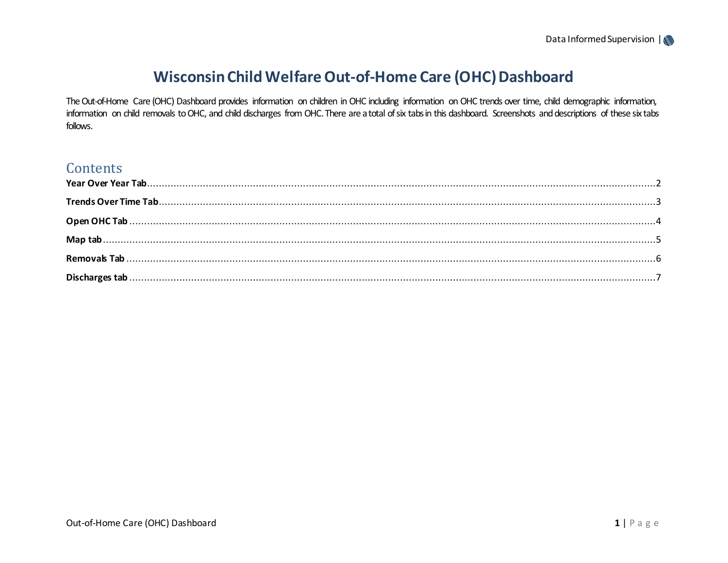# Wisconsin Child Welfare Out-of-Home Care (OHC) Dashboard

The Out-of-Home Care (OHC) Dashboard provides information on children in OHC including information on OHC trends over time, child demographic information, information on child removals to OHC, and child discharges from OHC. There are a total of six tabs in this dashboard. Screenshots and descriptions of these six tabs follows.

## Contents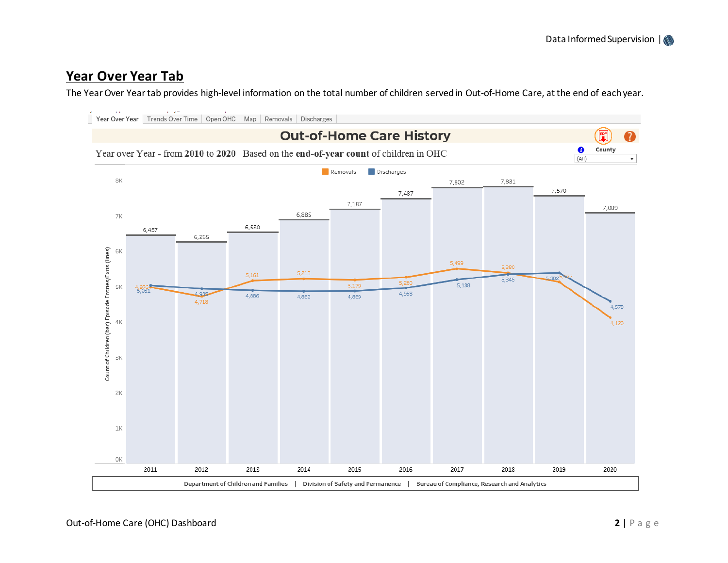#### <span id="page-1-0"></span>**Year Over Year Tab**

The Year Over Year tab provides high-level information on the total number of children served in Out-of-Home Care, at the end of each year.

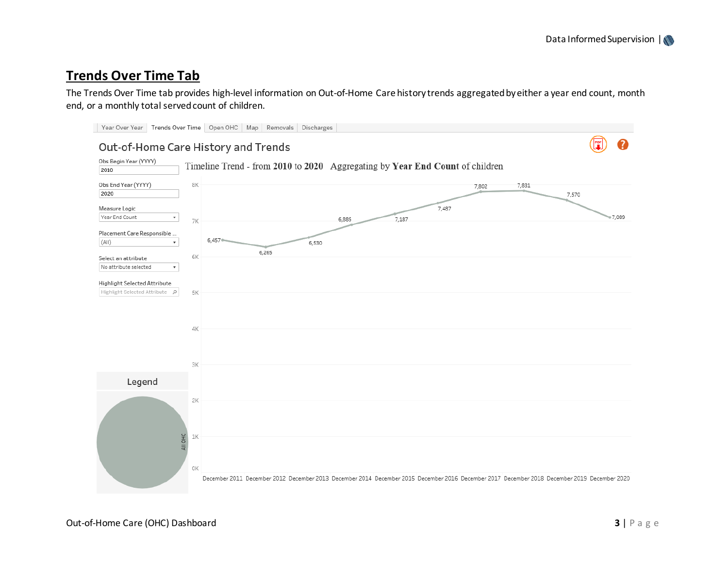## <span id="page-2-0"></span>**Trends Over Time Tab**

The Trends Over Time tab provides high-level information on Out-of-Home Care history trends aggregated by either a year end count, month end, or a monthly total served count of children.

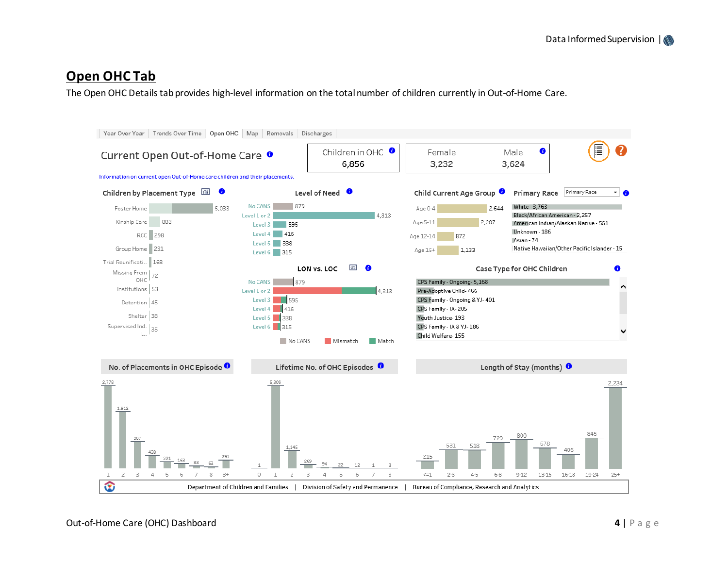## <span id="page-3-0"></span>**Open OHC Tab**

The Open OHC Details tab provides high-level information on the total number of children currently in Out-of-Home Care.

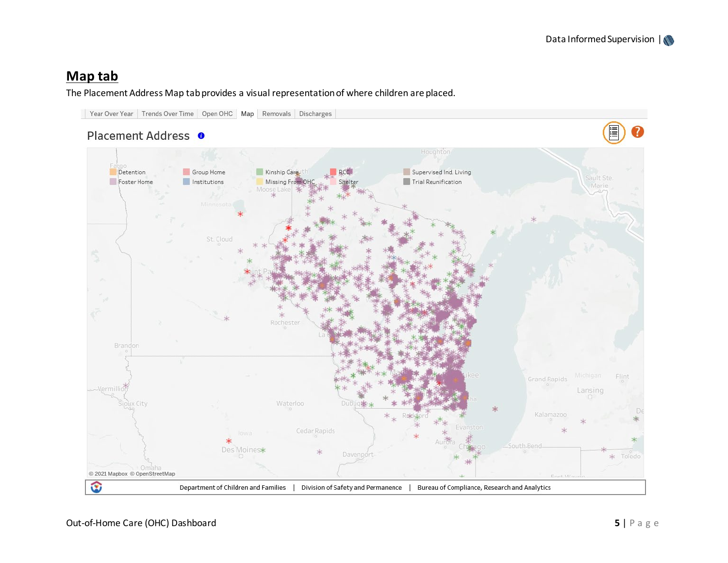## <span id="page-4-0"></span>**Map tab**

#### The Placement Address Map tab provides a visual representation of where children are placed.

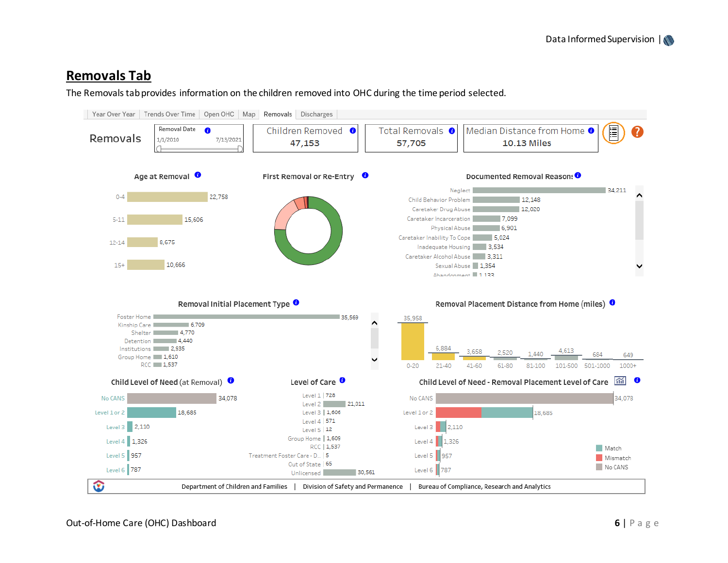### <span id="page-5-0"></span>**Removals Tab**

The Removals tab provides information on the children removed into OHC during the time period selected.